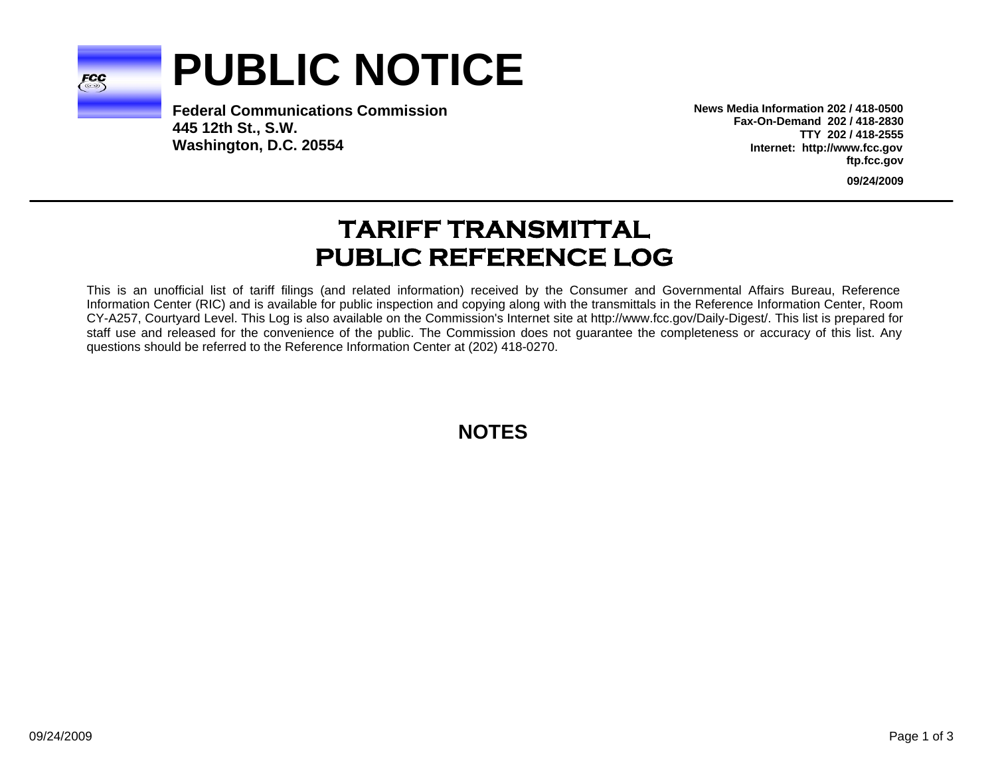

# **PUBLIC NOTICE**

**Federal Communications Commission445 12th St., S.W. Washington, D.C. 20554**

**News Media Information 202 / 418-0500Fax-On-Demand 202 / 418-2830TTY 202 / 418-2555Internet: http://www.fcc.gov ftp.fcc.gov**

**09/24/2009**

# **TARIFF TRANSMITTAL PUBLIC REFERENCE LOG**

This is an unofficial list of tariff filings (and related information) received by the Consumer and Governmental Affairs Bureau, Reference Information Center (RIC) and is available for public inspection and copying along with the transmittals in the Reference Information Center, Room CY-A257, Courtyard Level. This Log is also available on the Commission's Internet site at http://www.fcc.gov/Daily-Digest/. This list is prepared for staff use and released for the convenience of the public. The Commission does not guarantee the completeness or accuracy of this list. Any questions should be referred to the Reference Information Center at (202) 418-0270.

**NOTES**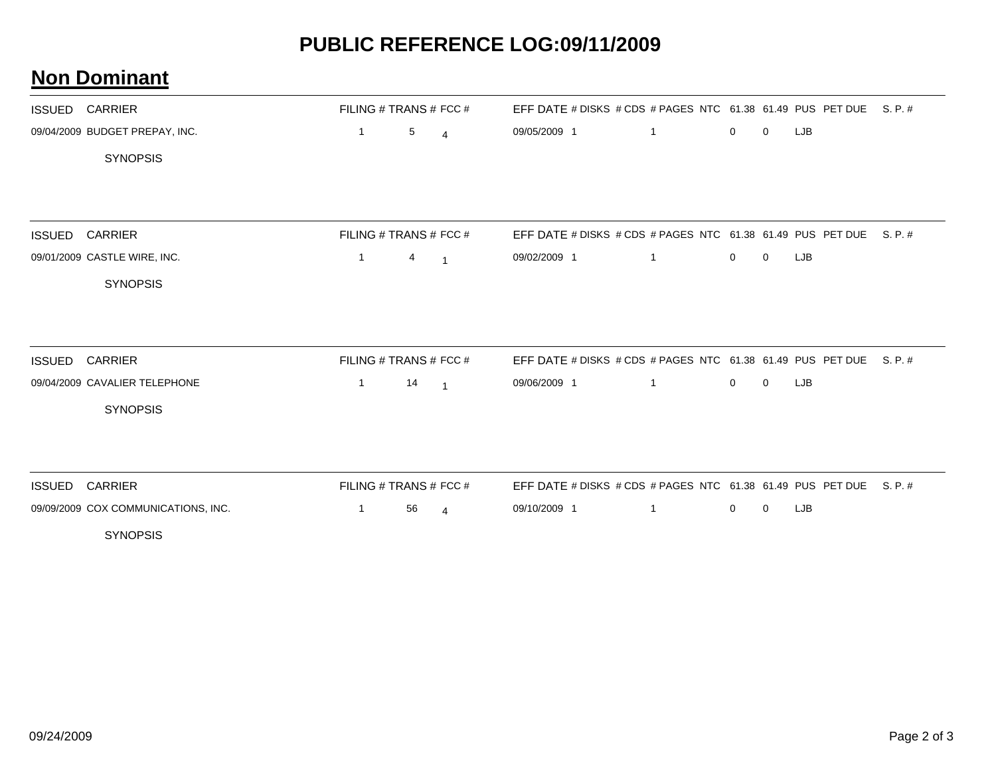## **PUBLIC REFERENCE LOG:09/11/2009**

#### **Non Dominant**

| <b>ISSUED</b> | CARRIER                             |                |    | FILING # TRANS # FCC #   | EFF DATE # DISKS # CDS # PAGES NTC 61.38 61.49 PUS PET DUE S. P. # |              |              |             |            |         |
|---------------|-------------------------------------|----------------|----|--------------------------|--------------------------------------------------------------------|--------------|--------------|-------------|------------|---------|
|               | 09/04/2009 BUDGET PREPAY, INC.      | $\overline{1}$ | 5  | $\overline{4}$           | 09/05/2009 1                                                       | $\mathbf{1}$ | $\mathbf{0}$ | $\mathbf 0$ | LJB        |         |
|               | <b>SYNOPSIS</b>                     |                |    |                          |                                                                    |              |              |             |            |         |
|               |                                     |                |    |                          |                                                                    |              |              |             |            |         |
|               |                                     |                |    |                          |                                                                    |              |              |             |            |         |
| <b>ISSUED</b> | <b>CARRIER</b>                      |                |    | FILING # TRANS # FCC #   | EFF DATE # DISKS # CDS # PAGES NTC 61.38 61.49 PUS PET DUE S. P. # |              |              |             |            |         |
|               | 09/01/2009 CASTLE WIRE, INC.        | $\mathbf{1}$   | 4  | $\overline{1}$           | 09/02/2009 1                                                       | $\mathbf{1}$ | $\mathbf{0}$ | $\mathbf 0$ | LJB        |         |
|               | <b>SYNOPSIS</b>                     |                |    |                          |                                                                    |              |              |             |            |         |
|               |                                     |                |    |                          |                                                                    |              |              |             |            |         |
|               |                                     |                |    |                          |                                                                    |              |              |             |            |         |
| <b>ISSUED</b> | <b>CARRIER</b>                      |                |    | FILING # TRANS # FCC #   | EFF DATE # DISKS # CDS # PAGES NTC 61.38 61.49 PUS PET DUE         |              |              |             |            | S. P. # |
|               | 09/04/2009 CAVALIER TELEPHONE       | $\mathbf{1}$   | 14 | $\overline{\phantom{0}}$ | 09/06/2009 1                                                       | $\mathbf{1}$ | $\mathbf 0$  | $\mathbf 0$ | <b>LJB</b> |         |
|               | <b>SYNOPSIS</b>                     |                |    |                          |                                                                    |              |              |             |            |         |
|               |                                     |                |    |                          |                                                                    |              |              |             |            |         |
|               |                                     |                |    |                          |                                                                    |              |              |             |            |         |
| <b>ISSUED</b> | <b>CARRIER</b>                      |                |    | FILING # TRANS # FCC #   | EFF DATE # DISKS # CDS # PAGES NTC 61.38 61.49 PUS PET DUE S. P. # |              |              |             |            |         |
|               | 09/09/2009 COX COMMUNICATIONS, INC. | $\mathbf{1}$   | 56 | $\overline{4}$           | 09/10/2009 1                                                       |              | $\mathbf{0}$ | $\mathbf 0$ | <b>LJB</b> |         |
|               | <b>SYNOPSIS</b>                     |                |    |                          |                                                                    |              |              |             |            |         |